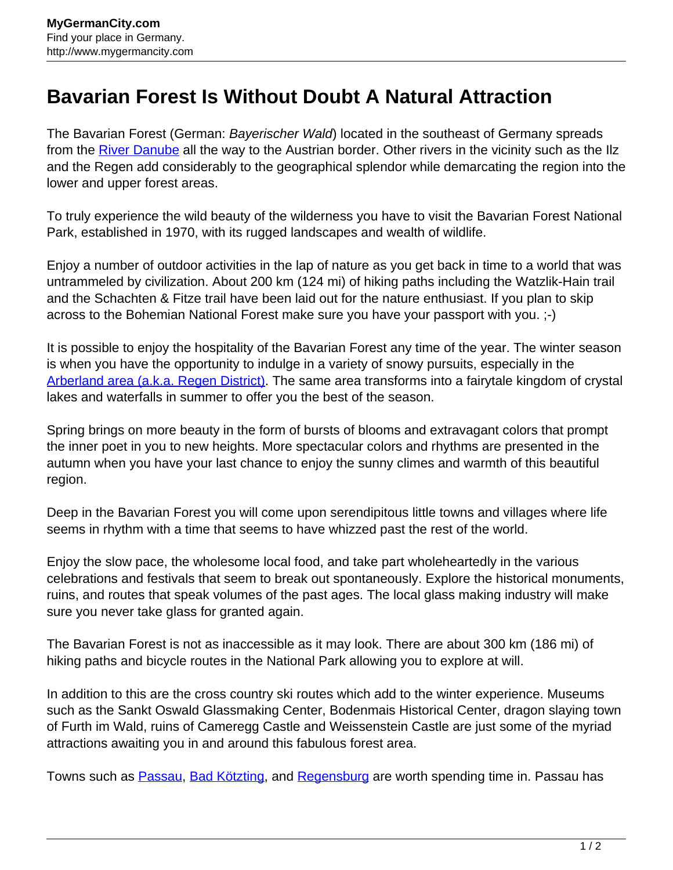## **Bavarian Forest Is Without Doubt A Natural Attraction**

The Bavarian Forest (German: *Bayerischer Wald*) located in the southeast of Germany spreads from the [River Danube](http://www.mygermancity.com/danube) all the way to the Austrian border. Other rivers in the vicinity such as the Ilz and the Regen add considerably to the geographical splendor while demarcating the region into the lower and upper forest areas.

To truly experience the wild beauty of the wilderness you have to visit the Bavarian Forest National Park, established in 1970, with its rugged landscapes and wealth of wildlife.

Enjoy a number of outdoor activities in the lap of nature as you get back in time to a world that was untrammeled by civilization. About 200 km (124 mi) of hiking paths including the Watzlik-Hain trail and the Schachten & Fitze trail have been laid out for the nature enthusiast. If you plan to skip across to the Bohemian National Forest make sure you have your passport with you. ;-)

It is possible to enjoy the hospitality of the Bavarian Forest any time of the year. The winter season is when you have the opportunity to indulge in a variety of snowy pursuits, especially in the [Arberland area \(a.k.a. Regen District\)](http://www.mygermancity.com/regen-district). The same area transforms into a fairytale kingdom of crystal lakes and waterfalls in summer to offer you the best of the season.

Spring brings on more beauty in the form of bursts of blooms and extravagant colors that prompt the inner poet in you to new heights. More spectacular colors and rhythms are presented in the autumn when you have your last chance to enjoy the sunny climes and warmth of this beautiful region.

Deep in the Bavarian Forest you will come upon serendipitous little towns and villages where life seems in rhythm with a time that seems to have whizzed past the rest of the world.

Enjoy the slow pace, the wholesome local food, and take part wholeheartedly in the various celebrations and festivals that seem to break out spontaneously. Explore the historical monuments, ruins, and routes that speak volumes of the past ages. The local glass making industry will make sure you never take glass for granted again.

The Bavarian Forest is not as inaccessible as it may look. There are about 300 km (186 mi) of hiking paths and bicycle routes in the National Park allowing you to explore at will.

In addition to this are the cross country ski routes which add to the winter experience. Museums such as the Sankt Oswald Glassmaking Center, Bodenmais Historical Center, dragon slaying town of Furth im Wald, ruins of Cameregg Castle and Weissenstein Castle are just some of the myriad attractions awaiting you in and around this fabulous forest area.

Towns such as [Passau,](http://www.mygermancity.com/passau) [Bad Kötzting,](http://www.mygermancity.com/bad-koetzting) and [Regensburg](http://www.mygermancity.com/regensburg) are worth spending time in. Passau has